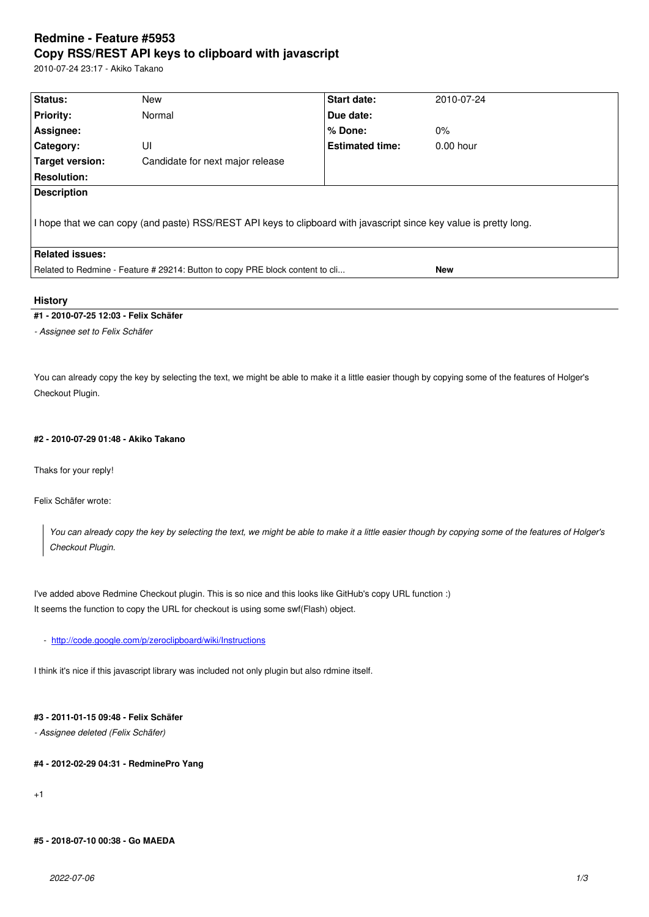#### **Copy RSS/REST API keys to clipboard with javascript**

2010-07-24 23:17 - Akiko Takano

| Status:                                                                                                            | New                              | Start date:            | 2010-07-24  |  |  |
|--------------------------------------------------------------------------------------------------------------------|----------------------------------|------------------------|-------------|--|--|
| <b>Priority:</b>                                                                                                   | Normal                           | Due date:              |             |  |  |
| Assignee:                                                                                                          |                                  | % Done:                | $0\%$       |  |  |
| Category:                                                                                                          | UI                               | <b>Estimated time:</b> | $0.00$ hour |  |  |
| Target version:                                                                                                    | Candidate for next major release |                        |             |  |  |
| <b>Resolution:</b>                                                                                                 |                                  |                        |             |  |  |
| <b>Description</b>                                                                                                 |                                  |                        |             |  |  |
| I hope that we can copy (and paste) RSS/REST API keys to clipboard with javascript since key value is pretty long. |                                  |                        |             |  |  |
| <b>Related issues:</b>                                                                                             |                                  |                        |             |  |  |
| Related to Redmine - Feature # 29214: Button to copy PRE block content to cli<br>New                               |                                  |                        |             |  |  |
|                                                                                                                    |                                  |                        |             |  |  |

# **History**

## **#1 - 2010-07-25 12:03 - Felix Schäfer**

*- Assignee set to Felix Schäfer*

You can already copy the key by selecting the text, we might be able to make it a little easier though by copying some of the features of Holger's Checkout Plugin.

## **#2 - 2010-07-29 01:48 - Akiko Takano**

Thaks for your reply!

Felix Schäfer wrote:

*You can already copy the key by selecting the text, we might be able to make it a little easier though by copying some of the features of Holger's Checkout Plugin.*

I've added above Redmine Checkout plugin. This is so nice and this looks like GitHub's copy URL function :) It seems the function to copy the URL for checkout is using some swf(Flash) object.

- http://code.google.com/p/zeroclipboard/wiki/Instructions

I think it's nice if this javascript library was included not only plugin but also rdmine itself.

# **#3 - 2011-01-15 09:48 - Felix Schäfer**

*- Assignee deleted (Felix Schäfer)*

## **#4 - 2012-02-29 04:31 - RedminePro Yang**

+1

#### **#5 - 2018-07-10 00:38 - Go MAEDA**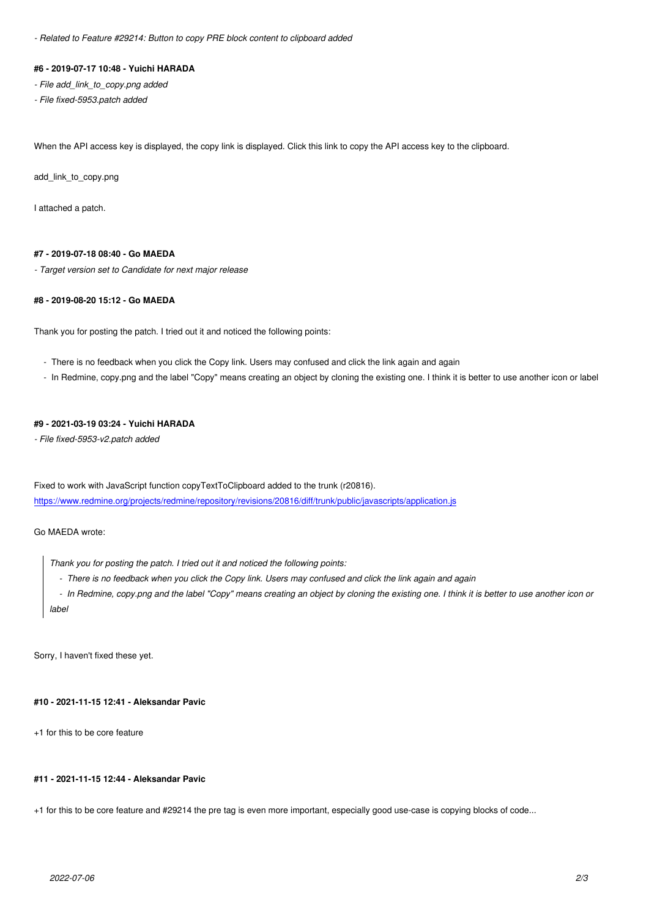#### **#6 - 2019-07-17 10:48 - Yuichi HARADA**

*- File add\_link\_to\_copy.png added*

*- File fixed-5953.patch added*

When the API access key is displayed, the copy link is displayed. Click this link to copy the API access key to the clipboard.

add\_link\_to\_copy.png

I attached a patch.

### **#7 - 2019-07-18 08:40 - Go MAEDA**

*- Target version set to Candidate for next major release*

## **#8 - 2019-08-20 15:12 - Go MAEDA**

Thank you for posting the patch. I tried out it and noticed the following points:

- There is no feedback when you click the Copy link. Users may confused and click the link again and again
- In Redmine, copy.png and the label "Copy" means creating an object by cloning the existing one. I think it is better to use another icon or label

## **#9 - 2021-03-19 03:24 - Yuichi HARADA**

*- File fixed-5953-v2.patch added*

Fixed to work with JavaScript function copyTextToClipboard added to the trunk (r20816). https://www.redmine.org/projects/redmine/repository/revisions/20816/diff/trunk/public/javascripts/application.js

Go MAEDA wrote:

*[Thank you for posting the patch. I tried out it and noticed the following points:](https://www.redmine.org/projects/redmine/repository/revisions/20816/diff/trunk/public/javascripts/application.js)*

 *- There is no feedback when you click the Copy link. Users may confused and click the link again and again*

 *- In Redmine, copy.png and the label "Copy" means creating an object by cloning the existing one. I think it is better to use another icon or label*

Sorry, I haven't fixed these yet.

# **#10 - 2021-11-15 12:41 - Aleksandar Pavic**

+1 for this to be core feature

### **#11 - 2021-11-15 12:44 - Aleksandar Pavic**

+1 for this to be core feature and #29214 the pre tag is even more important, especially good use-case is copying blocks of code...